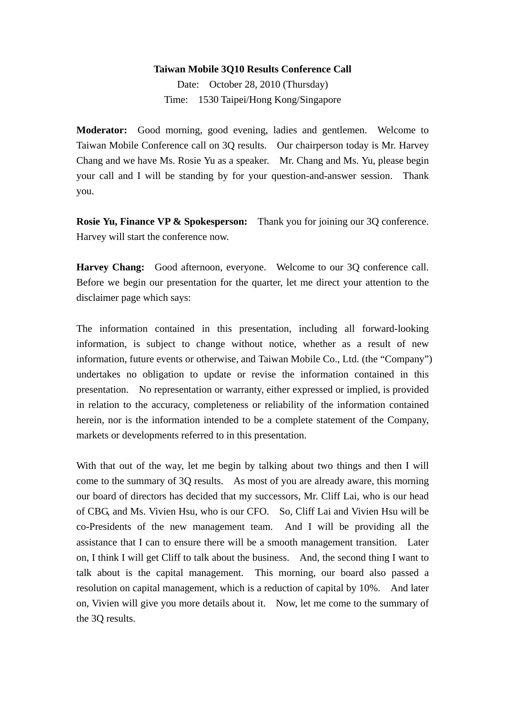#### **Taiwan Mobile 3Q10 Results Conference Call**

Date: October 28, 2010 (Thursday) Time: 1530 Taipei/Hong Kong/Singapore

**Moderator:** Good morning, good evening, ladies and gentlemen. Welcome to Taiwan Mobile Conference call on 3Q results. Our chairperson today is Mr. Harvey Chang and we have Ms. Rosie Yu as a speaker. Mr. Chang and Ms. Yu, please begin your call and I will be standing by for your question-and-answer session. Thank you.

**Rosie Yu, Finance VP & Spokesperson:** Thank you for joining our 3Q conference. Harvey will start the conference now.

Harvey Chang: Good afternoon, everyone. Welcome to our 3Q conference call. Before we begin our presentation for the quarter, let me direct your attention to the disclaimer page which says:

The information contained in this presentation, including all forward-looking information, is subject to change without notice, whether as a result of new information, future events or otherwise, and Taiwan Mobile Co., Ltd. (the "Company") undertakes no obligation to update or revise the information contained in this presentation. No representation or warranty, either expressed or implied, is provided in relation to the accuracy, completeness or reliability of the information contained herein, nor is the information intended to be a complete statement of the Company, markets or developments referred to in this presentation.

With that out of the way, let me begin by talking about two things and then I will come to the summary of 3Q results. As most of you are already aware, this morning our board of directors has decided that my successors, Mr. Cliff Lai, who is our head of CBG, and Ms. Vivien Hsu, who is our CFO. So, Cliff Lai and Vivien Hsu will be co-Presidents of the new management team. And I will be providing all the assistance that I can to ensure there will be a smooth management transition. Later on, I think I will get Cliff to talk about the business. And, the second thing I want to talk about is the capital management. This morning, our board also passed a resolution on capital management, which is a reduction of capital by 10%. And later on, Vivien will give you more details about it. Now, let me come to the summary of the 3Q results.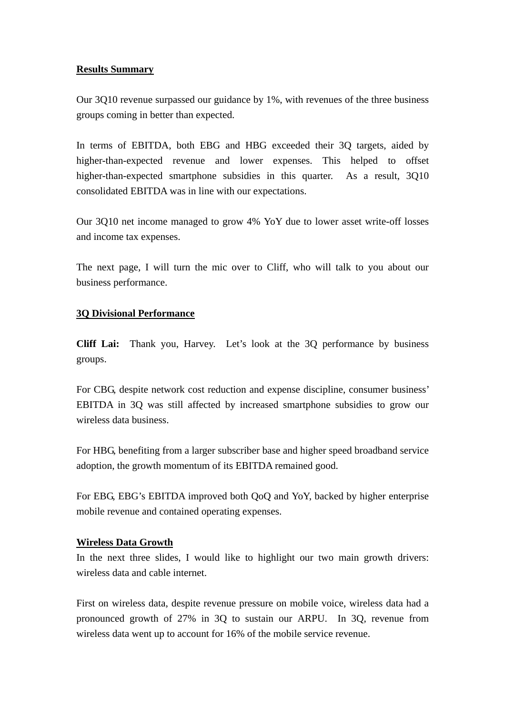## **Results Summary**

Our 3Q10 revenue surpassed our guidance by 1%, with revenues of the three business groups coming in better than expected.

In terms of EBITDA, both EBG and HBG exceeded their 3Q targets, aided by higher-than-expected revenue and lower expenses. This helped to offset higher-than-expected smartphone subsidies in this quarter. As a result, 3Q10 consolidated EBITDA was in line with our expectations.

Our 3Q10 net income managed to grow 4% YoY due to lower asset write-off losses and income tax expenses.

The next page, I will turn the mic over to Cliff, who will talk to you about our business performance.

## **3Q Divisional Performance**

**Cliff Lai:** Thank you, Harvey. Let's look at the 3Q performance by business groups.

For CBG, despite network cost reduction and expense discipline, consumer business' EBITDA in 3Q was still affected by increased smartphone subsidies to grow our wireless data business.

For HBG, benefiting from a larger subscriber base and higher speed broadband service adoption, the growth momentum of its EBITDA remained good.

For EBG, EBG's EBITDA improved both QoQ and YoY, backed by higher enterprise mobile revenue and contained operating expenses.

#### **Wireless Data Growth**

In the next three slides, I would like to highlight our two main growth drivers: wireless data and cable internet.

First on wireless data, despite revenue pressure on mobile voice, wireless data had a pronounced growth of 27% in 3Q to sustain our ARPU. In 3Q, revenue from wireless data went up to account for 16% of the mobile service revenue.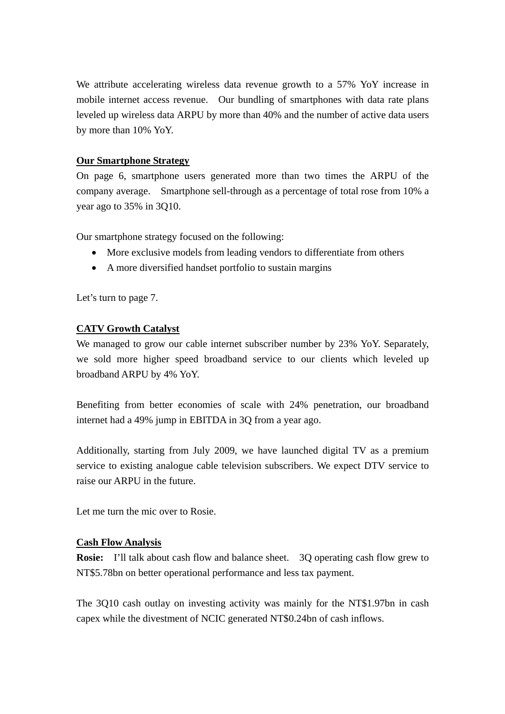We attribute accelerating wireless data revenue growth to a 57% YoY increase in mobile internet access revenue. Our bundling of smartphones with data rate plans leveled up wireless data ARPU by more than 40% and the number of active data users by more than 10% YoY.

## **Our Smartphone Strategy**

On page 6, smartphone users generated more than two times the ARPU of the company average. Smartphone sell-through as a percentage of total rose from 10% a year ago to 35% in 3Q10.

Our smartphone strategy focused on the following:

- More exclusive models from leading vendors to differentiate from others
- A more diversified handset portfolio to sustain margins

Let's turn to page 7.

### **CATV Growth Catalyst**

We managed to grow our cable internet subscriber number by 23% YoY. Separately, we sold more higher speed broadband service to our clients which leveled up broadband ARPU by 4% YoY.

Benefiting from better economies of scale with 24% penetration, our broadband internet had a 49% jump in EBITDA in 3Q from a year ago.

Additionally, starting from July 2009, we have launched digital TV as a premium service to existing analogue cable television subscribers. We expect DTV service to raise our ARPU in the future.

Let me turn the mic over to Rosie.

#### **Cash Flow Analysis**

**Rosie:** I'll talk about cash flow and balance sheet. 3Q operating cash flow grew to NT\$5.78bn on better operational performance and less tax payment.

The 3Q10 cash outlay on investing activity was mainly for the NT\$1.97bn in cash capex while the divestment of NCIC generated NT\$0.24bn of cash inflows.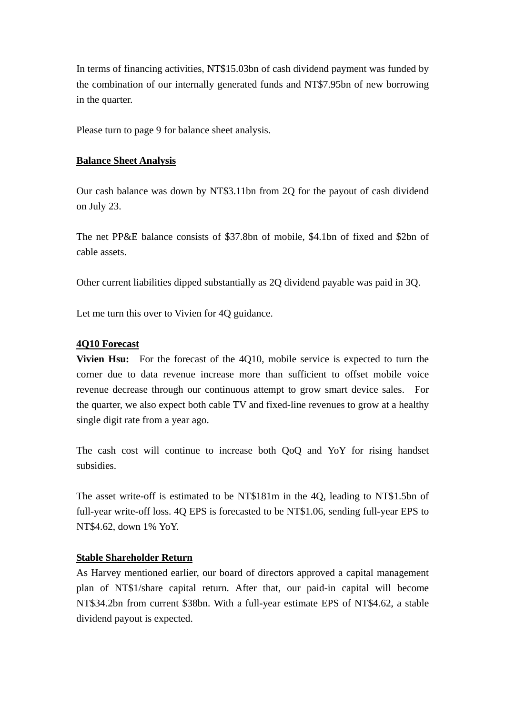In terms of financing activities, NT\$15.03bn of cash dividend payment was funded by the combination of our internally generated funds and NT\$7.95bn of new borrowing in the quarter.

Please turn to page 9 for balance sheet analysis.

## **Balance Sheet Analysis**

Our cash balance was down by NT\$3.11bn from 2Q for the payout of cash dividend on July 23.

The net PP&E balance consists of \$37.8bn of mobile, \$4.1bn of fixed and \$2bn of cable assets.

Other current liabilities dipped substantially as 2Q dividend payable was paid in 3Q.

Let me turn this over to Vivien for 4Q guidance.

### **4Q10 Forecast**

**Vivien Hsu:** For the forecast of the 4O10, mobile service is expected to turn the corner due to data revenue increase more than sufficient to offset mobile voice revenue decrease through our continuous attempt to grow smart device sales. For the quarter, we also expect both cable TV and fixed-line revenues to grow at a healthy single digit rate from a year ago.

The cash cost will continue to increase both QoQ and YoY for rising handset subsidies.

The asset write-off is estimated to be NT\$181m in the 4Q, leading to NT\$1.5bn of full-year write-off loss. 4Q EPS is forecasted to be NT\$1.06, sending full-year EPS to NT\$4.62, down 1% YoY.

#### **Stable Shareholder Return**

As Harvey mentioned earlier, our board of directors approved a capital management plan of NT\$1/share capital return. After that, our paid-in capital will become NT\$34.2bn from current \$38bn. With a full-year estimate EPS of NT\$4.62, a stable dividend payout is expected.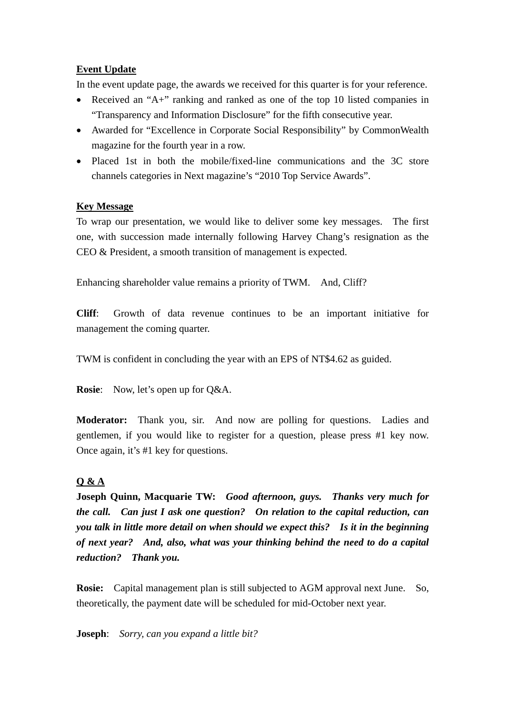## **Event Update**

In the event update page, the awards we received for this quarter is for your reference.

- Received an "A+" ranking and ranked as one of the top 10 listed companies in "Transparency and Information Disclosure" for the fifth consecutive year.
- Awarded for "Excellence in Corporate Social Responsibility" by CommonWealth magazine for the fourth year in a row.
- Placed 1st in both the mobile/fixed-line communications and the 3C store channels categories in Next magazine's "2010 Top Service Awards".

## **Key Message**

To wrap our presentation, we would like to deliver some key messages. The first one, with succession made internally following Harvey Chang's resignation as the CEO & President, a smooth transition of management is expected.

Enhancing shareholder value remains a priority of TWM. And, Cliff?

**Cliff**: Growth of data revenue continues to be an important initiative for management the coming quarter.

TWM is confident in concluding the year with an EPS of NT\$4.62 as guided.

**Rosie:** Now, let's open up for Q&A.

**Moderator:** Thank you, sir. And now are polling for questions. Ladies and gentlemen, if you would like to register for a question, please press #1 key now. Once again, it's #1 key for questions.

# **Q & A**

**Joseph Quinn, Macquarie TW:** *Good afternoon, guys. Thanks very much for the call. Can just I ask one question? On relation to the capital reduction, can you talk in little more detail on when should we expect this? Is it in the beginning of next year? And, also, what was your thinking behind the need to do a capital reduction? Thank you.*

**Rosie:** Capital management plan is still subjected to AGM approval next June. So, theoretically, the payment date will be scheduled for mid-October next year.

**Joseph**: *Sorry, can you expand a little bit?*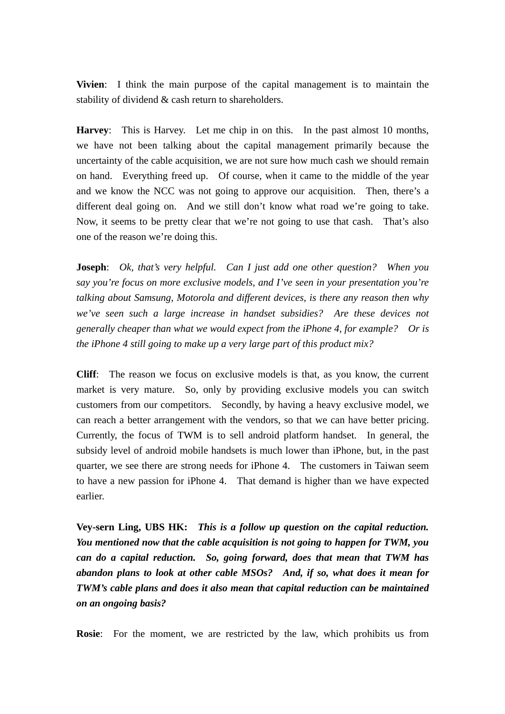**Vivien**: I think the main purpose of the capital management is to maintain the stability of dividend & cash return to shareholders.

**Harvey**: This is Harvey. Let me chip in on this. In the past almost 10 months, we have not been talking about the capital management primarily because the uncertainty of the cable acquisition, we are not sure how much cash we should remain on hand. Everything freed up. Of course, when it came to the middle of the year and we know the NCC was not going to approve our acquisition. Then, there's a different deal going on. And we still don't know what road we're going to take. Now, it seems to be pretty clear that we're not going to use that cash. That's also one of the reason we're doing this.

**Joseph**: *Ok, that's very helpful. Can I just add one other question? When you say you're focus on more exclusive models, and I've seen in your presentation you're talking about Samsung, Motorola and different devices, is there any reason then why we've seen such a large increase in handset subsidies? Are these devices not generally cheaper than what we would expect from the iPhone 4, for example? Or is the iPhone 4 still going to make up a very large part of this product mix?* 

**Cliff**: The reason we focus on exclusive models is that, as you know, the current market is very mature. So, only by providing exclusive models you can switch customers from our competitors. Secondly, by having a heavy exclusive model, we can reach a better arrangement with the vendors, so that we can have better pricing. Currently, the focus of TWM is to sell android platform handset. In general, the subsidy level of android mobile handsets is much lower than iPhone, but, in the past quarter, we see there are strong needs for iPhone 4. The customers in Taiwan seem to have a new passion for iPhone 4. That demand is higher than we have expected earlier.

**Vey-sern Ling, UBS HK:** *This is a follow up question on the capital reduction. You mentioned now that the cable acquisition is not going to happen for TWM, you can do a capital reduction. So, going forward, does that mean that TWM has abandon plans to look at other cable MSOs? And, if so, what does it mean for TWM's cable plans and does it also mean that capital reduction can be maintained on an ongoing basis?*

**Rosie**: For the moment, we are restricted by the law, which prohibits us from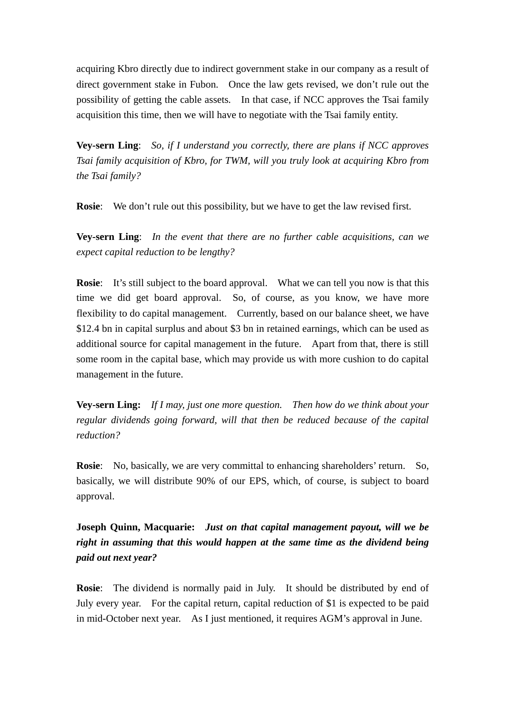acquiring Kbro directly due to indirect government stake in our company as a result of direct government stake in Fubon. Once the law gets revised, we don't rule out the possibility of getting the cable assets. In that case, if NCC approves the Tsai family acquisition this time, then we will have to negotiate with the Tsai family entity.

**Vey-sern Ling**: *So, if I understand you correctly, there are plans if NCC approves Tsai family acquisition of Kbro, for TWM, will you truly look at acquiring Kbro from the Tsai family?*

**Rosie:** We don't rule out this possibility, but we have to get the law revised first.

**Vey-sern Ling**: *In the event that there are no further cable acquisitions, can we expect capital reduction to be lengthy?*

**Rosie**: It's still subject to the board approval. What we can tell you now is that this time we did get board approval. So, of course, as you know, we have more flexibility to do capital management. Currently, based on our balance sheet, we have \$12.4 bn in capital surplus and about \$3 bn in retained earnings, which can be used as additional source for capital management in the future. Apart from that, there is still some room in the capital base, which may provide us with more cushion to do capital management in the future.

**Vey-sern Ling:** *If I may, just one more question. Then how do we think about your regular dividends going forward, will that then be reduced because of the capital reduction?*

**Rosie**: No, basically, we are very committal to enhancing shareholders' return. So, basically, we will distribute 90% of our EPS, which, of course, is subject to board approval.

**Joseph Quinn, Macquarie:** *Just on that capital management payout, will we be right in assuming that this would happen at the same time as the dividend being paid out next year?* 

**Rosie**: The dividend is normally paid in July. It should be distributed by end of July every year. For the capital return, capital reduction of \$1 is expected to be paid in mid-October next year. As I just mentioned, it requires AGM's approval in June.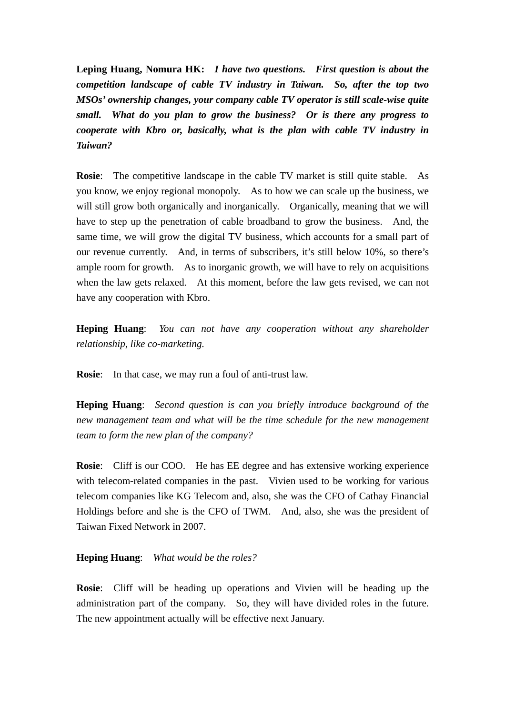**Leping Huang, Nomura HK:** *I have two questions. First question is about the competition landscape of cable TV industry in Taiwan. So, after the top two MSOs' ownership changes, your company cable TV operator is still scale-wise quite small. What do you plan to grow the business? Or is there any progress to cooperate with Kbro or, basically, what is the plan with cable TV industry in Taiwan?*

**Rosie**: The competitive landscape in the cable TV market is still quite stable. As you know, we enjoy regional monopoly. As to how we can scale up the business, we will still grow both organically and inorganically. Organically, meaning that we will have to step up the penetration of cable broadband to grow the business. And, the same time, we will grow the digital TV business, which accounts for a small part of our revenue currently. And, in terms of subscribers, it's still below 10%, so there's ample room for growth. As to inorganic growth, we will have to rely on acquisitions when the law gets relaxed. At this moment, before the law gets revised, we can not have any cooperation with Kbro.

**Heping Huang**: *You can not have any cooperation without any shareholder relationship, like co-marketing.*

**Rosie**: In that case, we may run a foul of anti-trust law.

**Heping Huang**: *Second question is can you briefly introduce background of the new management team and what will be the time schedule for the new management team to form the new plan of the company?*

**Rosie:** Cliff is our COO. He has EE degree and has extensive working experience with telecom-related companies in the past. Vivien used to be working for various telecom companies like KG Telecom and, also, she was the CFO of Cathay Financial Holdings before and she is the CFO of TWM. And, also, she was the president of Taiwan Fixed Network in 2007.

**Heping Huang**: *What would be the roles?*

**Rosie**: Cliff will be heading up operations and Vivien will be heading up the administration part of the company. So, they will have divided roles in the future. The new appointment actually will be effective next January.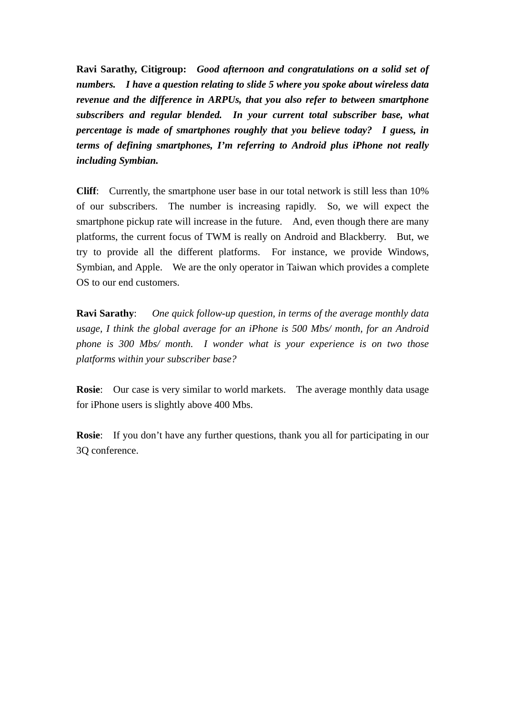**Ravi Sarathy, Citigroup:** *Good afternoon and congratulations on a solid set of numbers. I have a question relating to slide 5 where you spoke about wireless data revenue and the difference in ARPUs, that you also refer to between smartphone subscribers and regular blended. In your current total subscriber base, what percentage is made of smartphones roughly that you believe today? I guess, in terms of defining smartphones, I'm referring to Android plus iPhone not really including Symbian.*

**Cliff**: Currently, the smartphone user base in our total network is still less than 10% of our subscribers. The number is increasing rapidly. So, we will expect the smartphone pickup rate will increase in the future. And, even though there are many platforms, the current focus of TWM is really on Android and Blackberry. But, we try to provide all the different platforms. For instance, we provide Windows, Symbian, and Apple. We are the only operator in Taiwan which provides a complete OS to our end customers.

**Ravi Sarathy**: *One quick follow-up question, in terms of the average monthly data usage, I think the global average for an iPhone is 500 Mbs/ month, for an Android phone is 300 Mbs/ month. I wonder what is your experience is on two those platforms within your subscriber base?*

**Rosie**: Our case is very similar to world markets. The average monthly data usage for iPhone users is slightly above 400 Mbs.

**Rosie**: If you don't have any further questions, thank you all for participating in our 3Q conference.